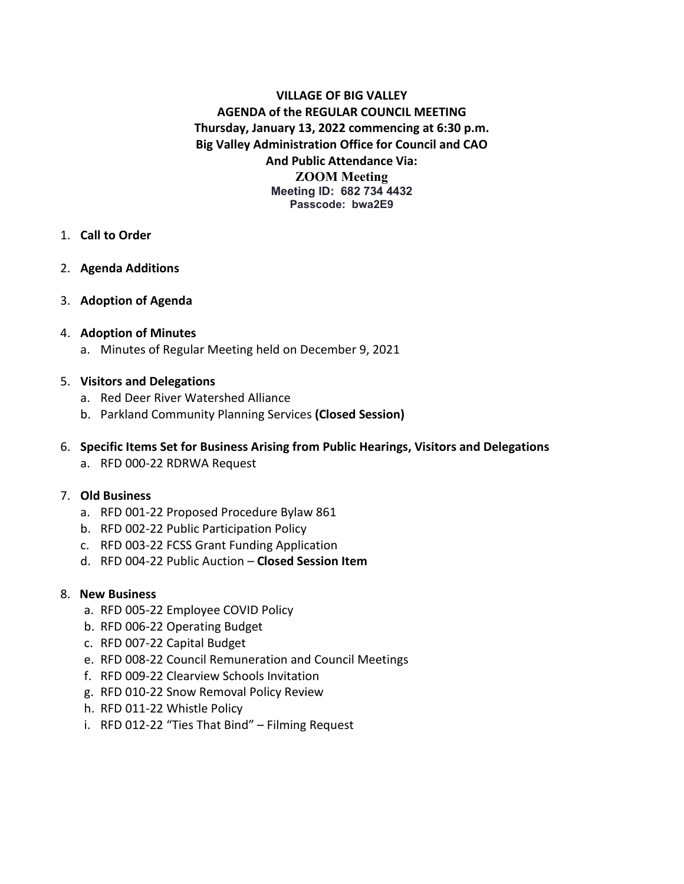**VILLAGE OF BIG VALLEY AGENDA of the REGULAR COUNCIL MEETING Thursday, January 13, 2022 commencing at 6:30 p.m. Big Valley Administration Office for Council and CAO And Public Attendance Via: ZOOM Meeting Meeting ID: 682 734 4432 Passcode: bwa2E9**

- 1. **Call to Order**
- 2. **Agenda Additions**
- 3. **Adoption of Agenda**

### 4. **Adoption of Minutes**

a. Minutes of Regular Meeting held on December 9, 2021

### 5. **Visitors and Delegations**

- a. Red Deer River Watershed Alliance
- b. Parkland Community Planning Services **(Closed Session)**

### 6. **Specific Items Set for Business Arising from Public Hearings, Visitors and Delegations**

a. RFD 000-22 RDRWA Request

#### 7. **Old Business**

- a. RFD 001-22 Proposed Procedure Bylaw 861
- b. RFD 002-22 Public Participation Policy
- c. RFD 003-22 FCSS Grant Funding Application
- d. RFD 004-22 Public Auction **Closed Session Item**

#### 8. **New Business**

- a. RFD 005-22 Employee COVID Policy
- b. RFD 006-22 Operating Budget
- c. RFD 007-22 Capital Budget
- e. RFD 008-22 Council Remuneration and Council Meetings
- f. RFD 009-22 Clearview Schools Invitation
- g. RFD 010-22 Snow Removal Policy Review
- h. RFD 011-22 Whistle Policy
- i. RFD 012-22 "Ties That Bind" Filming Request